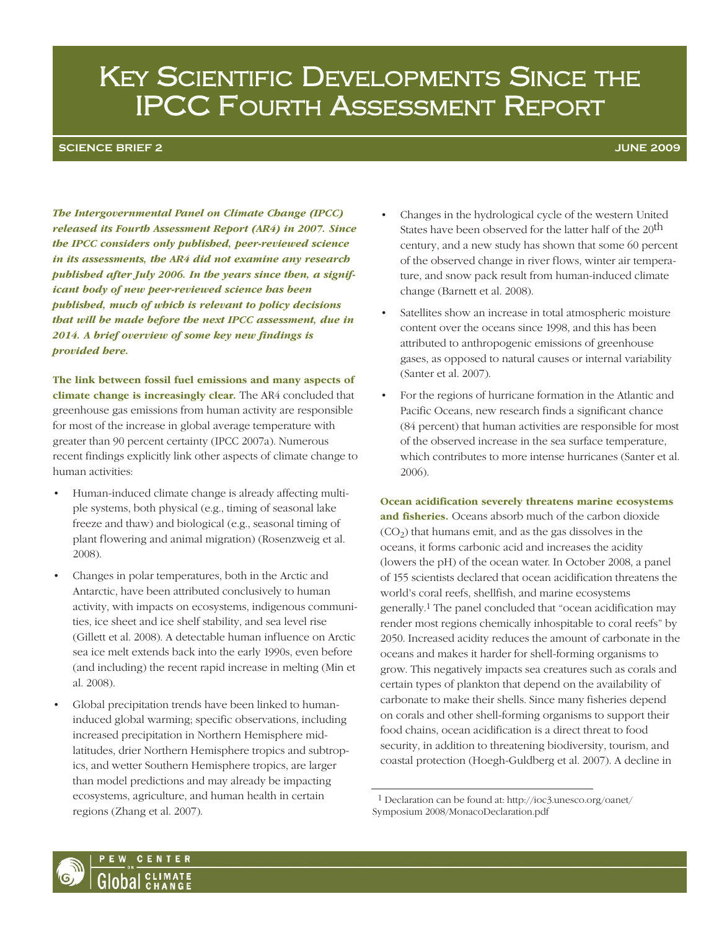# KEY SCIENTIFIC DEVELOPMENTS SINCE THE IPCC FOURTH ASSESSMENT REPORT

# **SCIENCE BRIEF 2 JUNE 2009**

*The Intergovernmental Panel on Climate Change (IPCC) released its Fourth Assessment Report (AR4) in 2007. Since the IPCC considers only published, peer-reviewed science in its assessments, the AR4 did not examine any research published after July 2006. In the years since then, a significant body of new peer-reviewed science has been published, much of which is relevant to policy decisions that will be made before the next IPCC assessment, due in 2014. A brief overview of some key new findings is provided here.*

**The link between fossil fuel emissions and many aspects of climate change is increasingly clear.** The AR4 concluded that greenhouse gas emissions from human activity are responsible for most of the increase in global average temperature with greater than 90 percent certainty (IPCC 2007a). Numerous recent findings explicitly link other aspects of climate change to human activities:

- Human-induced climate change is already affecting multiple systems, both physical (e.g., timing of seasonal lake freeze and thaw) and biological (e.g., seasonal timing of plant flowering and animal migration) (Rosenzweig et al. 2008).
- Changes in polar temperatures, both in the Arctic and Antarctic, have been attributed conclusively to human activity, with impacts on ecosystems, indigenous communities, ice sheet and ice shelf stability, and sea level rise (Gillett et al. 2008). A detectable human influence on Arctic sea ice melt extends back into the early 1990s, even before (and including) the recent rapid increase in melting (Min et al. 2008).
- Global precipitation trends have been linked to humaninduced global warming; specific observations, including increased precipitation in Northern Hemisphere midlatitudes, drier Northern Hemisphere tropics and subtropics, and wetter Southern Hemisphere tropics, are larger than model predictions and may already be impacting ecosystems, agriculture, and human health in certain regions (Zhang et al. 2007).
- Changes in the hydrological cycle of the western United States have been observed for the latter half of the 20<sup>th</sup> century, and a new study has shown that some 60 percent of the observed change in river flows, winter air temperature, and snow pack result from human-induced climate change (Barnett et al. 2008).
- Satellites show an increase in total atmospheric moisture content over the oceans since 1998, and this has been attributed to anthropogenic emissions of greenhouse gases, as opposed to natural causes or internal variability (Santer et al. 2007).
- For the regions of hurricane formation in the Atlantic and Pacific Oceans, new research finds a significant chance (84 percent) that human activities are responsible for most of the observed increase in the sea surface temperature, which contributes to more intense hurricanes (Santer et al. 2006).

**Ocean acidification severely threatens marine ecosystems and fisheries.** Oceans absorb much of the carbon dioxide  $(CO<sub>2</sub>)$  that humans emit, and as the gas dissolves in the oceans, it forms carbonic acid and increases the acidity (lowers the pH) of the ocean water. In October 2008, a panel of 155 scientists declared that ocean acidification threatens the world's coral reefs, shellfish, and marine ecosystems generally.1 The panel concluded that "ocean acidification may render most regions chemically inhospitable to coral reefs" by 2050. Increased acidity reduces the amount of carbonate in the oceans and makes it harder for shell-forming organisms to grow. This negatively impacts sea creatures such as corals and certain types of plankton that depend on the availability of carbonate to make their shells. Since many fisheries depend on corals and other shell-forming organisms to support their food chains, ocean acidification is a direct threat to food security, in addition to threatening biodiversity, tourism, and coastal protection (Hoegh-Guldberg et al. 2007). A decline in



<sup>1</sup> Declaration can be found at: http://ioc3.unesco.org/oanet/ Symposium 2008/MonacoDeclaration.pdf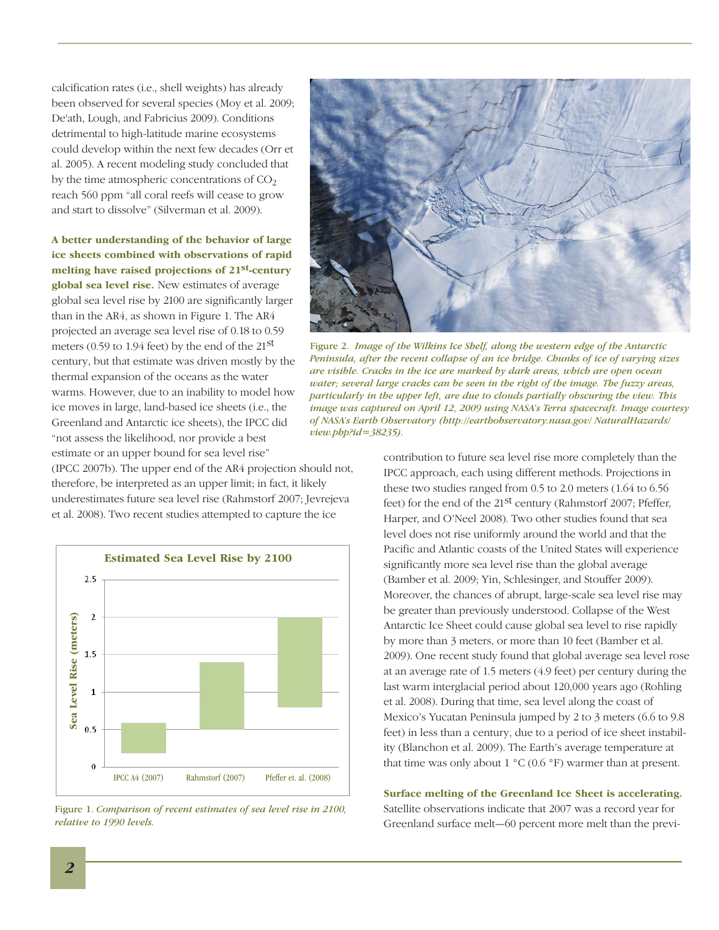calcification rates (i.e., shell weights) has already been observed for several species (Moy et al. 2009; De'ath, Lough, and Fabricius 2009). Conditions detrimental to high-latitude marine ecosystems could develop within the next few decades (Orr et al. 2005). A recent modeling study concluded that by the time atmospheric concentrations of  $CO<sub>2</sub>$ reach 560 ppm "all coral reefs will cease to grow and start to dissolve" (Silverman et al. 2009).

**A better understanding of the behavior of large ice sheets combined with observations of rapid melting have raised projections of 21st-century global sea level rise.** New estimates of average global sea level rise by 2100 are significantly larger than in the AR4, as shown in Figure 1. The AR4 projected an average sea level rise of 0.18 to 0.59 meters (0.59 to 1.94 feet) by the end of the 21st century, but that estimate was driven mostly by the thermal expansion of the oceans as the water warms. However, due to an inability to model how ice moves in large, land-based ice sheets (i.e., the Greenland and Antarctic ice sheets), the IPCC did "not assess the likelihood, nor provide a best estimate or an upper bound for sea level rise"

(IPCC 2007b). The upper end of the AR4 projection should not, therefore, be interpreted as an upper limit; in fact, it likely underestimates future sea level rise (Rahmstorf 2007; Jevrejeva et al. 2008). Two recent studies attempted to capture the ice



Figure 1. *Comparison of recent estimates of sea level rise in 2100, relative to 1990 levels.* 



Figure 2. *Image of the Wilkins Ice Shelf, along the western edge of the Antarctic Peninsula, after the recent collapse of an ice bridge. Chunks of ice of varying sizes are visible. Cracks in the ice are marked by dark areas, which are open ocean water; several large cracks can be seen in the right of the image. The fuzzy areas, particularly in the upper left, are due to clouds partially obscuring the view. This image was captured on April 12, 2009 using NASA's Terra spacecraft. Image courtesy of NASA's Earth Observatory (http://earthobservatory.nasa.gov/ NaturalHazards/ view.php?id=38235).*

contribution to future sea level rise more completely than the IPCC approach, each using different methods. Projections in these two studies ranged from 0.5 to 2.0 meters (1.64 to 6.56 feet) for the end of the 21st century (Rahmstorf 2007; Pfeffer, Harper, and O'Neel 2008). Two other studies found that sea level does not rise uniformly around the world and that the Pacific and Atlantic coasts of the United States will experience significantly more sea level rise than the global average (Bamber et al. 2009; Yin, Schlesinger, and Stouffer 2009). Moreover, the chances of abrupt, large-scale sea level rise may be greater than previously understood. Collapse of the West Antarctic Ice Sheet could cause global sea level to rise rapidly by more than 3 meters, or more than 10 feet (Bamber et al. 2009). One recent study found that global average sea level rose at an average rate of 1.5 meters (4.9 feet) per century during the last warm interglacial period about 120,000 years ago (Rohling et al. 2008). During that time, sea level along the coast of Mexico's Yucatan Peninsula jumped by 2 to 3 meters (6.6 to 9.8 feet) in less than a century, due to a period of ice sheet instability (Blanchon et al. 2009). The Earth's average temperature at that time was only about 1 °C (0.6 °F) warmer than at present.

**Surface melting of the Greenland Ice Sheet is accelerating.** Satellite observations indicate that 2007 was a record year for Greenland surface melt—60 percent more melt than the previ-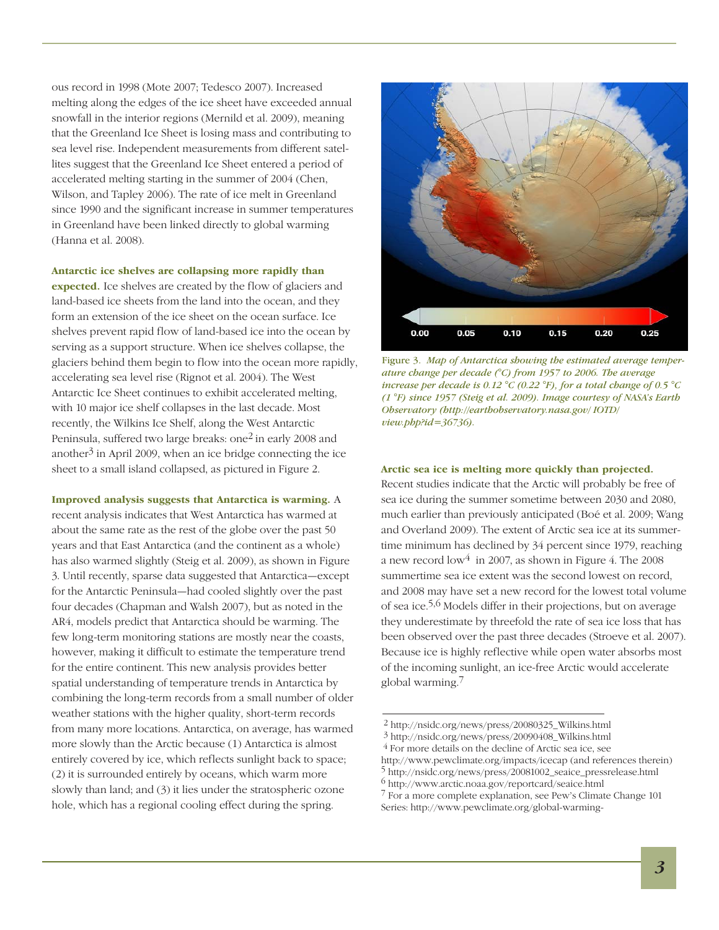ous record in 1998 (Mote 2007; Tedesco 2007). Increased melting along the edges of the ice sheet have exceeded annual snowfall in the interior regions (Mernild et al. 2009), meaning that the Greenland Ice Sheet is losing mass and contributing to sea level rise. Independent measurements from different satellites suggest that the Greenland Ice Sheet entered a period of accelerated melting starting in the summer of 2004 (Chen, Wilson, and Tapley 2006). The rate of ice melt in Greenland since 1990 and the significant increase in summer temperatures in Greenland have been linked directly to global warming (Hanna et al. 2008).

# **Antarctic ice shelves are collapsing more rapidly than**

**expected.** Ice shelves are created by the flow of glaciers and land-based ice sheets from the land into the ocean, and they form an extension of the ice sheet on the ocean surface. Ice shelves prevent rapid flow of land-based ice into the ocean by serving as a support structure. When ice shelves collapse, the glaciers behind them begin to flow into the ocean more rapidly, accelerating sea level rise (Rignot et al. 2004). The West Antarctic Ice Sheet continues to exhibit accelerated melting, with 10 major ice shelf collapses in the last decade. Most recently, the Wilkins Ice Shelf, along the West Antarctic Peninsula, suffered two large breaks: one<sup>2</sup> in early 2008 and another<sup>3</sup> in April 2009, when an ice bridge connecting the ice sheet to a small island collapsed, as pictured in Figure 2.

**Improved analysis suggests that Antarctica is warming.** A recent analysis indicates that West Antarctica has warmed at about the same rate as the rest of the globe over the past 50 years and that East Antarctica (and the continent as a whole) has also warmed slightly (Steig et al. 2009), as shown in Figure 3. Until recently, sparse data suggested that Antarctica—except for the Antarctic Peninsula—had cooled slightly over the past four decades (Chapman and Walsh 2007), but as noted in the AR4, models predict that Antarctica should be warming. The few long-term monitoring stations are mostly near the coasts, however, making it difficult to estimate the temperature trend for the entire continent. This new analysis provides better spatial understanding of temperature trends in Antarctica by combining the long-term records from a small number of older weather stations with the higher quality, short-term records from many more locations. Antarctica, on average, has warmed more slowly than the Arctic because (1) Antarctica is almost entirely covered by ice, which reflects sunlight back to space; (2) it is surrounded entirely by oceans, which warm more slowly than land; and (3) it lies under the stratospheric ozone hole, which has a regional cooling effect during the spring.



Figure 3. *Map of Antarctica showing the estimated average temperature change per decade (°C) from 1957 to 2006. The average increase per decade is 0.12 °C (0.22 °F), for a total change of 0.5 °C (1 °F) since 1957 (Steig et al. 2009). Image courtesy of NASA's Earth Observatory (http://earthobservatory.nasa.gov/ IOTD/ view.php?id=36736).* 

#### **Arctic sea ice is melting more quickly than projected.**

Recent studies indicate that the Arctic will probably be free of sea ice during the summer sometime between 2030 and 2080, much earlier than previously anticipated (Boé et al. 2009; Wang and Overland 2009). The extent of Arctic sea ice at its summertime minimum has declined by 34 percent since 1979, reaching a new record low<sup>4</sup> in 2007, as shown in Figure 4. The 2008 summertime sea ice extent was the second lowest on record, and 2008 may have set a new record for the lowest total volume of sea ice.5,6 Models differ in their projections, but on average they underestimate by threefold the rate of sea ice loss that has been observed over the past three decades (Stroeve et al. 2007). Because ice is highly reflective while open water absorbs most of the incoming sunlight, an ice-free Arctic would accelerate global warming.7

http://www.pewclimate.org/impacts/icecap (and references therein) 5 http://nsidc.org/news/press/20081002\_seaice\_pressrelease.html

6 http://www.arctic.noaa.gov/reportcard/seaice.html

<sup>2</sup> http://nsidc.org/news/press/20080325\_Wilkins.html

<sup>3</sup> http://nsidc.org/news/press/20090408\_Wilkins.html

<sup>4</sup> For more details on the decline of Arctic sea ice, see

<sup>7</sup> For a more complete explanation, see Pew's Climate Change 101 Series: http://www.pewclimate.org/global-warming-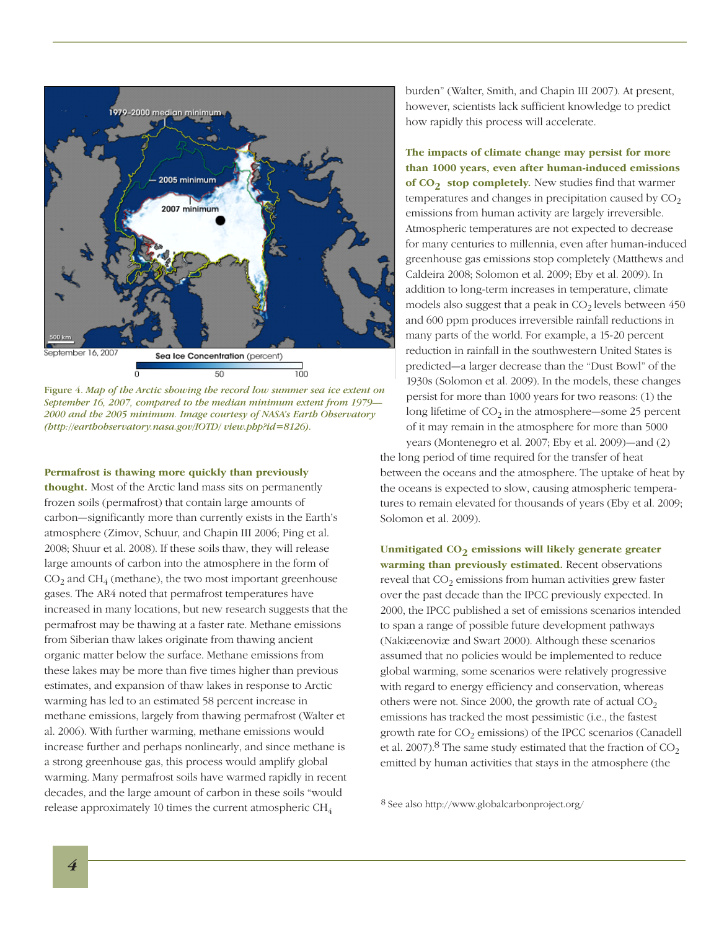

Figure 4. *Map of the Arctic showing the record low summer sea ice extent on September 16, 2007, compared to the median minimum extent from 1979— 2000 and the 2005 minimum. Image courtesy of NASA's Earth Observatory (http://earthobservatory.nasa.gov/IOTD/ view.php?id=8126).*

## **Permafrost is thawing more quickly than previously**

**thought.** Most of the Arctic land mass sits on permanently frozen soils (permafrost) that contain large amounts of carbon—significantly more than currently exists in the Earth's atmosphere (Zimov, Schuur, and Chapin III 2006; Ping et al. 2008; Shuur et al. 2008). If these soils thaw, they will release large amounts of carbon into the atmosphere in the form of  $CO<sub>2</sub>$  and  $CH<sub>4</sub>$  (methane), the two most important greenhouse gases. The AR4 noted that permafrost temperatures have increased in many locations, but new research suggests that the permafrost may be thawing at a faster rate. Methane emissions from Siberian thaw lakes originate from thawing ancient organic matter below the surface. Methane emissions from these lakes may be more than five times higher than previous estimates, and expansion of thaw lakes in response to Arctic warming has led to an estimated 58 percent increase in methane emissions, largely from thawing permafrost (Walter et al. 2006). With further warming, methane emissions would increase further and perhaps nonlinearly, and since methane is a strong greenhouse gas, this process would amplify global warming. Many permafrost soils have warmed rapidly in recent decades, and the large amount of carbon in these soils "would release approximately 10 times the current atmospheric CH4

burden" (Walter, Smith, and Chapin III 2007). At present, however, scientists lack sufficient knowledge to predict how rapidly this process will accelerate.

**The impacts of climate change may persist for more than 1000 years, even after human-induced emissions of CO<sub>2</sub> stop completely.** New studies find that warmer temperatures and changes in precipitation caused by  $CO<sub>2</sub>$ emissions from human activity are largely irreversible. Atmospheric temperatures are not expected to decrease for many centuries to millennia, even after human-induced greenhouse gas emissions stop completely (Matthews and Caldeira 2008; Solomon et al. 2009; Eby et al. 2009). In addition to long-term increases in temperature, climate models also suggest that a peak in  $CO<sub>2</sub>$  levels between 450 and 600 ppm produces irreversible rainfall reductions in many parts of the world. For example, a 15-20 percent reduction in rainfall in the southwestern United States is predicted—a larger decrease than the "Dust Bowl" of the 1930s (Solomon et al. 2009). In the models, these changes persist for more than 1000 years for two reasons: (1) the long lifetime of  $CO<sub>2</sub>$  in the atmosphere—some 25 percent of it may remain in the atmosphere for more than 5000 years (Montenegro et al. 2007; Eby et al. 2009)—and (2) the long period of time required for the transfer of heat between the oceans and the atmosphere. The uptake of heat by the oceans is expected to slow, causing atmospheric temperatures to remain elevated for thousands of years (Eby et al. 2009;

Unmitigated CO<sub>2</sub> emissions will likely generate greater **warming than previously estimated.** Recent observations reveal that  $CO<sub>2</sub>$  emissions from human activities grew faster over the past decade than the IPCC previously expected. In 2000, the IPCC published a set of emissions scenarios intended to span a range of possible future development pathways (Nakiæenoviæ and Swart 2000). Although these scenarios assumed that no policies would be implemented to reduce global warming, some scenarios were relatively progressive with regard to energy efficiency and conservation, whereas others were not. Since 2000, the growth rate of actual  $CO<sub>2</sub>$ emissions has tracked the most pessimistic (i.e., the fastest growth rate for  $CO<sub>2</sub>$  emissions) of the IPCC scenarios (Canadell et al. 2007).<sup>8</sup> The same study estimated that the fraction of  $CO<sub>2</sub>$ emitted by human activities that stays in the atmosphere (the

8 See also http://www.globalcarbonproject.org/

Solomon et al. 2009).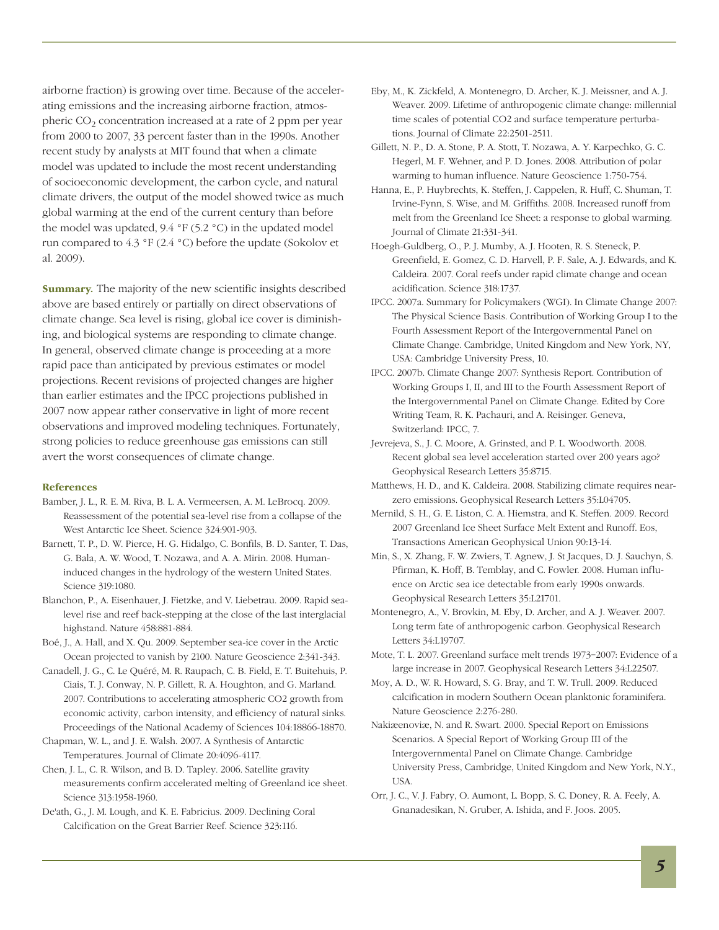airborne fraction) is growing over time. Because of the accelerating emissions and the increasing airborne fraction, atmospheric  $CO<sub>2</sub>$  concentration increased at a rate of 2 ppm per year from 2000 to 2007, 33 percent faster than in the 1990s. Another recent study by analysts at MIT found that when a climate model was updated to include the most recent understanding of socioeconomic development, the carbon cycle, and natural climate drivers, the output of the model showed twice as much global warming at the end of the current century than before the model was updated, 9.4 °F (5.2 °C) in the updated model run compared to 4.3 °F (2.4 °C) before the update (Sokolov et al. 2009).

**Summary.** The majority of the new scientific insights described above are based entirely or partially on direct observations of climate change. Sea level is rising, global ice cover is diminishing, and biological systems are responding to climate change. In general, observed climate change is proceeding at a more rapid pace than anticipated by previous estimates or model projections. Recent revisions of projected changes are higher than earlier estimates and the IPCC projections published in 2007 now appear rather conservative in light of more recent observations and improved modeling techniques. Fortunately, strong policies to reduce greenhouse gas emissions can still avert the worst consequences of climate change.

## **References**

- Bamber, J. L., R. E. M. Riva, B. L. A. Vermeersen, A. M. LeBrocq. 2009. Reassessment of the potential sea-level rise from a collapse of the West Antarctic Ice Sheet. Science 324:901-903.
- Barnett, T. P., D. W. Pierce, H. G. Hidalgo, C. Bonfils, B. D. Santer, T. Das, G. Bala, A. W. Wood, T. Nozawa, and A. A. Mirin. 2008. Humaninduced changes in the hydrology of the western United States. Science 319:1080.
- Blanchon, P., A. Eisenhauer, J. Fietzke, and V. Liebetrau. 2009. Rapid sealevel rise and reef back-stepping at the close of the last interglacial highstand. Nature 458:881-884.
- Boé, J., A. Hall, and X. Qu. 2009. September sea-ice cover in the Arctic Ocean projected to vanish by 2100. Nature Geoscience 2:341-343.
- Canadell, J. G., C. Le Quéré, M. R. Raupach, C. B. Field, E. T. Buitehuis, P. Ciais, T. J. Conway, N. P. Gillett, R. A. Houghton, and G. Marland. 2007. Contributions to accelerating atmospheric CO2 growth from economic activity, carbon intensity, and efficiency of natural sinks. Proceedings of the National Academy of Sciences 104:18866-18870.
- Chapman, W. L., and J. E. Walsh. 2007. A Synthesis of Antarctic Temperatures. Journal of Climate 20:4096-4117.
- Chen, J. L., C. R. Wilson, and B. D. Tapley. 2006. Satellite gravity measurements confirm accelerated melting of Greenland ice sheet. Science 313:1958-1960.
- De'ath, G., J. M. Lough, and K. E. Fabricius. 2009. Declining Coral Calcification on the Great Barrier Reef. Science 323:116.
- Eby, M., K. Zickfeld, A. Montenegro, D. Archer, K. J. Meissner, and A. J. Weaver. 2009. Lifetime of anthropogenic climate change: millennial time scales of potential CO2 and surface temperature perturbations. Journal of Climate 22:2501-2511.
- Gillett, N. P., D. A. Stone, P. A. Stott, T. Nozawa, A. Y. Karpechko, G. C. Hegerl, M. F. Wehner, and P. D. Jones. 2008. Attribution of polar warming to human influence. Nature Geoscience 1:750-754.
- Hanna, E., P. Huybrechts, K. Steffen, J. Cappelen, R. Huff, C. Shuman, T. Irvine-Fynn, S. Wise, and M. Griffiths. 2008. Increased runoff from melt from the Greenland Ice Sheet: a response to global warming. Journal of Climate 21:331-341.
- Hoegh-Guldberg, O., P. J. Mumby, A. J. Hooten, R. S. Steneck, P. Greenfield, E. Gomez, C. D. Harvell, P. F. Sale, A. J. Edwards, and K. Caldeira. 2007. Coral reefs under rapid climate change and ocean acidification. Science 318:1737.
- IPCC. 2007a. Summary for Policymakers (WGI). In Climate Change 2007: The Physical Science Basis. Contribution of Working Group I to the Fourth Assessment Report of the Intergovernmental Panel on Climate Change. Cambridge, United Kingdom and New York, NY, USA: Cambridge University Press, 10.
- IPCC. 2007b. Climate Change 2007: Synthesis Report. Contribution of Working Groups I, II, and III to the Fourth Assessment Report of the Intergovernmental Panel on Climate Change. Edited by Core Writing Team, R. K. Pachauri, and A. Reisinger. Geneva, Switzerland: IPCC, 7.
- Jevrejeva, S., J. C. Moore, A. Grinsted, and P. L. Woodworth. 2008. Recent global sea level acceleration started over 200 years ago? Geophysical Research Letters 35:8715.
- Matthews, H. D., and K. Caldeira. 2008. Stabilizing climate requires nearzero emissions. Geophysical Research Letters 35:L04705.
- Mernild, S. H., G. E. Liston, C. A. Hiemstra, and K. Steffen. 2009. Record 2007 Greenland Ice Sheet Surface Melt Extent and Runoff. Eos, Transactions American Geophysical Union 90:13-14.
- Min, S., X. Zhang, F. W. Zwiers, T. Agnew, J. St Jacques, D. J. Sauchyn, S. Pfirman, K. Hoff, B. Temblay, and C. Fowler. 2008. Human influence on Arctic sea ice detectable from early 1990s onwards. Geophysical Research Letters 35:L21701.
- Montenegro, A., V. Brovkin, M. Eby, D. Archer, and A. J. Weaver. 2007. Long term fate of anthropogenic carbon. Geophysical Research Letters 34:L19707.
- Mote, T. L. 2007. Greenland surface melt trends 1973–2007: Evidence of a large increase in 2007. Geophysical Research Letters 34:L22507.
- Moy, A. D., W. R. Howard, S. G. Bray, and T. W. Trull. 2009. Reduced calcification in modern Southern Ocean planktonic foraminifera. Nature Geoscience 2:276-280.
- Nakiæenoviæ, N. and R. Swart. 2000. Special Report on Emissions Scenarios. A Special Report of Working Group III of the Intergovernmental Panel on Climate Change. Cambridge University Press, Cambridge, United Kingdom and New York, N.Y., USA.
- Orr, J. C., V. J. Fabry, O. Aumont, L. Bopp, S. C. Doney, R. A. Feely, A. Gnanadesikan, N. Gruber, A. Ishida, and F. Joos. 2005.